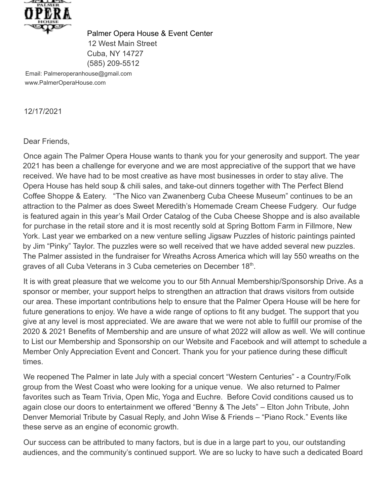

Palmer Opera House & Event Center 12 West Main Street Cuba, NY 14727 (585) 209-5512

Email: Palmeroperanhouse@gmail.com www.PalmerOperaHouse.com

12/17/2021

## Dear Friends,

Once again The Palmer Opera House wants to thank you for your generosity and support. The year 2021 has been a challenge for everyone and we are most appreciative of the support that we have received. We have had to be most creative as have most businesses in order to stay alive. The Opera House has held soup & chili sales, and take-out dinners together with The Perfect Blend Coffee Shoppe & Eatery. "The Nico van Zwanenberg Cuba Cheese Museum" continues to be an attraction to the Palmer as does Sweet Meredith's Homemade Cream Cheese Fudgery. Our fudge is featured again in this year's Mail Order Catalog of the Cuba Cheese Shoppe and is also available for purchase in the retail store and it is most recently sold at Spring Bottom Farm in Fillmore, New York. Last year we embarked on a new venture selling Jigsaw Puzzles of historic paintings painted by Jim "Pinky" Taylor. The puzzles were so well received that we have added several new puzzles. The Palmer assisted in the fundraiser for Wreaths Across America which will lay 550 wreaths on the graves of all Cuba Veterans in 3 Cuba cemeteries on December 18th.

It is with great pleasure that we welcome you to our 5th Annual Membership/Sponsorship Drive. As a sponsor or member, your support helps to strengthen an attraction that draws visitors from outside our area. These important contributions help to ensure that the Palmer Opera House will be here for future generations to enjoy. We have a wide range of options to fit any budget. The support that you give at any level is most appreciated. We are aware that we were not able to fulfill our promise of the 2020 & 2021 Benefits of Membership and are unsure of what 2022 will allow as well. We will continue to List our Membership and Sponsorship on our Website and Facebook and will attempt to schedule a Member Only Appreciation Event and Concert. Thank you for your patience during these difficult times.

We reopened The Palmer in late July with a special concert "Western Centuries" - a Country/Folk group from the West Coast who were looking for a unique venue. We also returned to Palmer favorites such as Team Trivia, Open Mic, Yoga and Euchre. Before Covid conditions caused us to again close our doors to entertainment we offered "Benny & The Jets" – Elton John Tribute, John Denver Memorial Tribute by Casual Reply, and John Wise & Friends – "Piano Rock." Events like these serve as an engine of economic growth.

Our success can be attributed to many factors, but is due in a large part to you, our outstanding audiences, and the community's continued support. We are so lucky to have such a dedicated Board